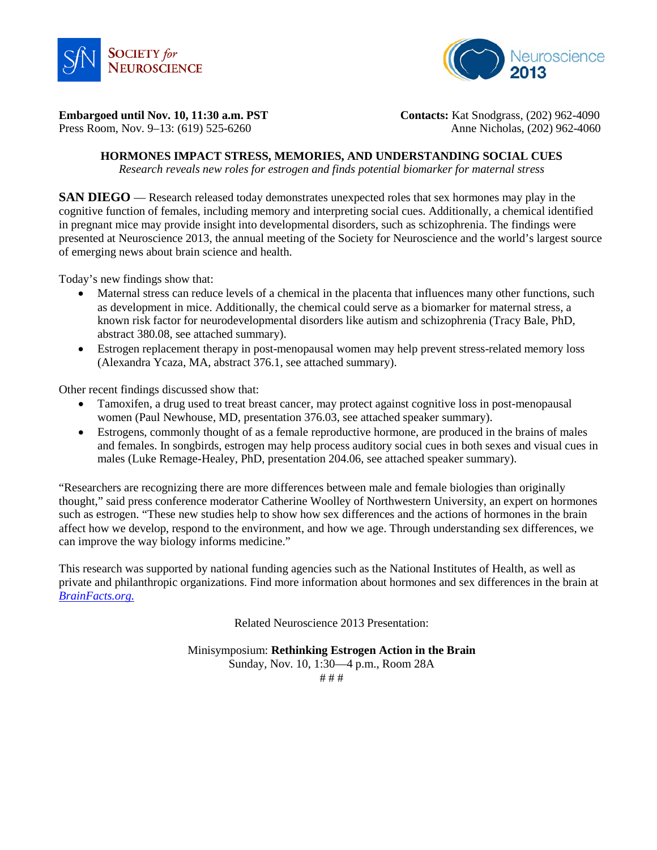



**Embargoed until Nov. 10, 11:30 a.m. PST Contacts:** Kat Snodgrass, (202) 962-4090

Press Room, Nov. 9–13: (619) 525-6260Anne Nicholas, (202) 962-4060

# **HORMONES IMPACT STRESS, MEMORIES, AND UNDERSTANDING SOCIAL CUES**

*Research reveals new roles for estrogen and finds potential biomarker for maternal stress*

**SAN DIEGO** — Research released today demonstrates unexpected roles that sex hormones may play in the cognitive function of females, including memory and interpreting social cues. Additionally, a chemical identified in pregnant mice may provide insight into developmental disorders, such as schizophrenia. The findings were presented at Neuroscience 2013, the annual meeting of the Society for Neuroscience and the world's largest source of emerging news about brain science and health.

Today's new findings show that:

- Maternal stress can reduce levels of a chemical in the placenta that influences many other functions, such as development in mice. Additionally, the chemical could serve as a biomarker for maternal stress, a known risk factor for neurodevelopmental disorders like autism and schizophrenia (Tracy Bale, PhD, abstract 380.08, see attached summary).
- Estrogen replacement therapy in post-menopausal women may help prevent stress-related memory loss (Alexandra Ycaza, MA, abstract 376.1, see attached summary).

Other recent findings discussed show that:

- Tamoxifen, a drug used to treat breast cancer, may protect against cognitive loss in post-menopausal women (Paul Newhouse, MD, presentation 376.03, see attached speaker summary).
- Estrogens, commonly thought of as a female reproductive hormone, are produced in the brains of males and females. In songbirds, estrogen may help process auditory social cues in both sexes and visual cues in males (Luke Remage-Healey, PhD, presentation 204.06, see attached speaker summary).

"Researchers are recognizing there are more differences between male and female biologies than originally thought," said press conference moderator Catherine Woolley of Northwestern University, an expert on hormones such as estrogen. "These new studies help to show how sex differences and the actions of hormones in the brain affect how we develop, respond to the environment, and how we age. Through understanding sex differences, we can improve the way biology informs medicine."

This research was supported by national funding agencies such as the National Institutes of Health, as well as private and philanthropic organizations. Find more information about hormones and sex differences in the brain at *[BrainFacts.org.](http://www.brainfacts.org/)*

Related Neuroscience 2013 Presentation:

Minisymposium: **Rethinking Estrogen Action in the Brain**

Sunday, Nov. 10, 1:30—4 p.m., Room 28A # # #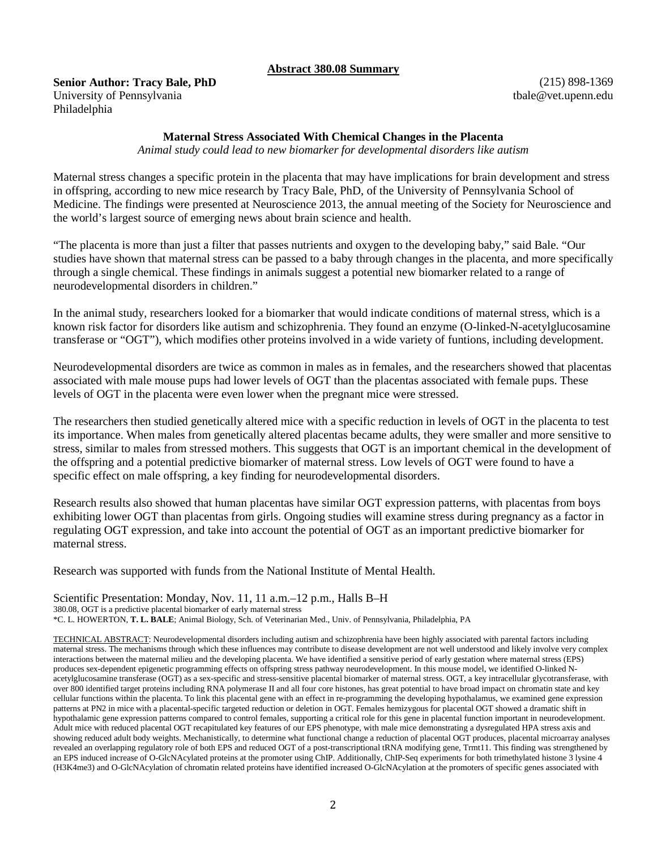#### **Abstract 380.08 Summary**

**Senior Author: Tracy Bale, PhD** University of Pennsylvania Philadelphia

(215) 898-1369 tbale@vet.upenn.edu

### **Maternal Stress Associated With Chemical Changes in the Placenta**

*Animal study could lead to new biomarker for developmental disorders like autism*

Maternal stress changes a specific protein in the placenta that may have implications for brain development and stress in offspring, according to new mice research by Tracy Bale, PhD, of the University of Pennsylvania School of Medicine. The findings were presented at Neuroscience 2013, the annual meeting of the Society for Neuroscience and the world's largest source of emerging news about brain science and health.

"The placenta is more than just a filter that passes nutrients and oxygen to the developing baby," said Bale. "Our studies have shown that maternal stress can be passed to a baby through changes in the placenta, and more specifically through a single chemical. These findings in animals suggest a potential new biomarker related to a range of neurodevelopmental disorders in children."

In the animal study, researchers looked for a biomarker that would indicate conditions of maternal stress, which is a known risk factor for disorders like autism and schizophrenia. They found an enzyme (O-linked-N-acetylglucosamine transferase or "OGT"), which modifies other proteins involved in a wide variety of funtions, including development.

Neurodevelopmental disorders are twice as common in males as in females, and the researchers showed that placentas associated with male mouse pups had lower levels of OGT than the placentas associated with female pups. These levels of OGT in the placenta were even lower when the pregnant mice were stressed.

The researchers then studied genetically altered mice with a specific reduction in levels of OGT in the placenta to test its importance. When males from genetically altered placentas became adults, they were smaller and more sensitive to stress, similar to males from stressed mothers. This suggests that OGT is an important chemical in the development of the offspring and a potential predictive biomarker of maternal stress. Low levels of OGT were found to have a specific effect on male offspring, a key finding for neurodevelopmental disorders.

Research results also showed that human placentas have similar OGT expression patterns, with placentas from boys exhibiting lower OGT than placentas from girls. Ongoing studies will examine stress during pregnancy as a factor in regulating OGT expression, and take into account the potential of OGT as an important predictive biomarker for maternal stress.

Research was supported with funds from the National Institute of Mental Health.

Scientific Presentation: Monday, Nov. 11, 11 a.m.–12 p.m., Halls B–H 380.08, OGT is a predictive placental biomarker of early maternal stress \*C. L. HOWERTON, **T. L. BALE**; Animal Biology, Sch. of Veterinarian Med., Univ. of Pennsylvania, Philadelphia, PA

TECHNICAL ABSTRACT: Neurodevelopmental disorders including autism and schizophrenia have been highly associated with parental factors including maternal stress. The mechanisms through which these influences may contribute to disease development are not well understood and likely involve very complex interactions between the maternal milieu and the developing placenta. We have identified a sensitive period of early gestation where maternal stress (EPS) produces sex-dependent epigenetic programming effects on offspring stress pathway neurodevelopment. In this mouse model, we identified O-linked Nacetylglucosamine transferase (OGT) as a sex-specific and stress-sensitive placental biomarker of maternal stress. OGT, a key intracellular glycotransferase, with over 800 identified target proteins including RNA polymerase II and all four core histones, has great potential to have broad impact on chromatin state and key cellular functions within the placenta. To link this placental gene with an effect in re-programming the developing hypothalamus, we examined gene expression patterns at PN2 in mice with a placental-specific targeted reduction or deletion in OGT. Females hemizygous for placental OGT showed a dramatic shift in hypothalamic gene expression patterns compared to control females, supporting a critical role for this gene in placental function important in neurodevelopment. Adult mice with reduced placental OGT recapitulated key features of our EPS phenotype, with male mice demonstrating a dysregulated HPA stress axis and showing reduced adult body weights. Mechanistically, to determine what functional change a reduction of placental OGT produces, placental microarray analyses revealed an overlapping regulatory role of both EPS and reduced OGT of a post-transcriptional tRNA modifying gene, Trmt11. This finding was strengthened by an EPS induced increase of O-GlcNAcylated proteins at the promoter using ChIP. Additionally, ChIP-Seq experiments for both trimethylated histone 3 lysine 4 (H3K4me3) and O-GlcNAcylation of chromatin related proteins have identified increased O-GlcNAcylation at the promoters of specific genes associated with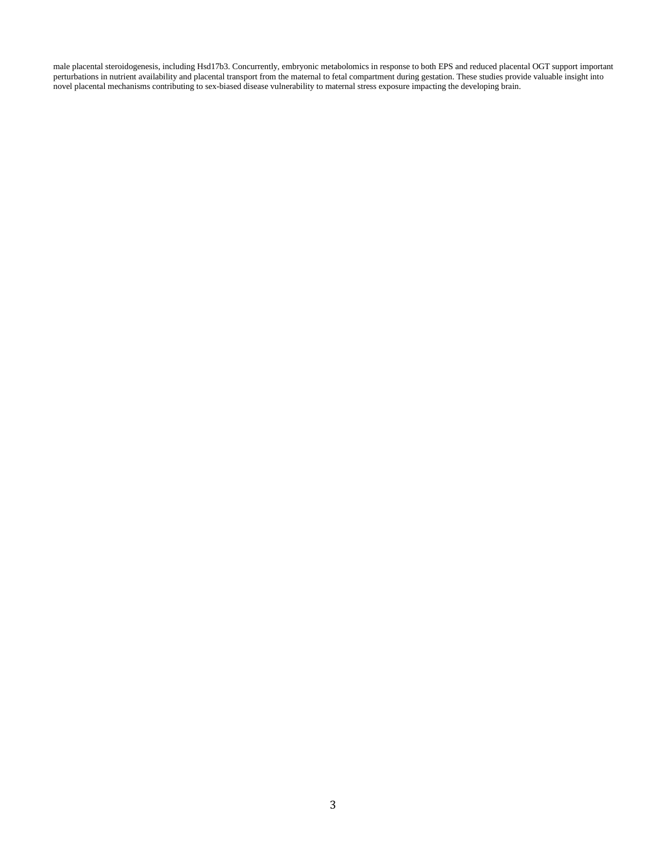male placental steroidogenesis, including Hsd17b3. Concurrently, embryonic metabolomics in response to both EPS and reduced placental OGT support important perturbations in nutrient availability and placental transport from the maternal to fetal compartment during gestation. These studies provide valuable insight into novel placental mechanisms contributing to sex-biased disease vulnerability to maternal stress exposure impacting the developing brain.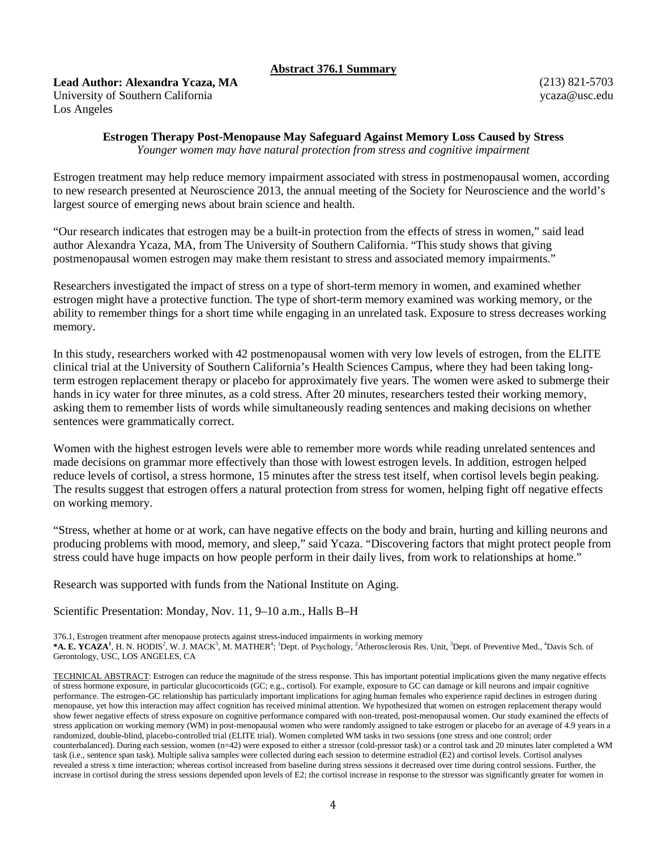## **Abstract 376.1 Summary**

**Lead Author: Alexandra Ycaza, MA**

University of Southern California Los Angeles

(213) 821-5703 ycaza@usc.edu

# **Estrogen Therapy Post-Menopause May Safeguard Against Memory Loss Caused by Stress**

*Younger women may have natural protection from stress and cognitive impairment*

Estrogen treatment may help reduce memory impairment associated with stress in postmenopausal women, according to new research presented at Neuroscience 2013, the annual meeting of the Society for Neuroscience and the world's largest source of emerging news about brain science and health.

"Our research indicates that estrogen may be a built-in protection from the effects of stress in women," said lead author Alexandra Ycaza, MA, from The University of Southern California. "This study shows that giving postmenopausal women estrogen may make them resistant to stress and associated memory impairments."

Researchers investigated the impact of stress on a type of short-term memory in women, and examined whether estrogen might have a protective function. The type of short-term memory examined was working memory, or the ability to remember things for a short time while engaging in an unrelated task. Exposure to stress decreases working memory.

In this study, researchers worked with 42 postmenopausal women with very low levels of estrogen, from the ELITE clinical trial at the University of Southern California's Health Sciences Campus, where they had been taking longterm estrogen replacement therapy or placebo for approximately five years. The women were asked to submerge their hands in icy water for three minutes, as a cold stress. After 20 minutes, researchers tested their working memory, asking them to remember lists of words while simultaneously reading sentences and making decisions on whether sentences were grammatically correct.

Women with the highest estrogen levels were able to remember more words while reading unrelated sentences and made decisions on grammar more effectively than those with lowest estrogen levels. In addition, estrogen helped reduce levels of cortisol, a stress hormone, 15 minutes after the stress test itself, when cortisol levels begin peaking. The results suggest that estrogen offers a natural protection from stress for women, helping fight off negative effects on working memory.

"Stress, whether at home or at work, can have negative effects on the body and brain, hurting and killing neurons and producing problems with mood, memory, and sleep," said Ycaza. "Discovering factors that might protect people from stress could have huge impacts on how people perform in their daily lives, from work to relationships at home."

Research was supported with funds from the National Institute on Aging.

Scientific Presentation: Monday, Nov. 11, 9–10 a.m., Halls B–H

376.1, Estrogen treatment after menopause protects against stress-induced impairments in working memory

\*A. E. YCAZA<sup>1</sup>, H. N. HODIS<sup>2</sup>, W. J. MACK<sup>3</sup>, M. MATHER<sup>4</sup>; <sup>1</sup>Dept. of Psychology, <sup>2</sup>Atherosclerosis Res. Unit, <sup>3</sup>Dept. of Preventive Med., <sup>4</sup>Davis Sch. of Gerontology, USC, LOS ANGELES, CA

TECHNICAL ABSTRACT: Estrogen can reduce the magnitude of the stress response. This has important potential implications given the many negative effects of stress hormone exposure, in particular glucocorticoids (GC; e.g., cortisol). For example, exposure to GC can damage or kill neurons and impair cognitive performance. The estrogen-GC relationship has particularly important implications for aging human females who experience rapid declines in estrogen during menopause, yet how this interaction may affect cognition has received minimal attention. We hypothesized that women on estrogen replacement therapy would show fewer negative effects of stress exposure on cognitive performance compared with non-treated, post-menopausal women. Our study examined the effects of stress application on working memory (WM) in post-menopausal women who were randomly assigned to take estrogen or placebo for an average of 4.9 years in a randomized, double-blind, placebo-controlled trial (ELITE trial). Women completed WM tasks in two sessions (one stress and one control; order counterbalanced). During each session, women (n=42) were exposed to either a stressor (cold-pressor task) or a control task and 20 minutes later completed a WM task (i.e., sentence span task). Multiple saliva samples were collected during each session to determine estradiol (E2) and cortisol levels. Cortisol analyses revealed a stress x time interaction; whereas cortisol increased from baseline during stress sessions it decreased over time during control sessions. Further, the increase in cortisol during the stress sessions depended upon levels of E2; the cortisol increase in response to the stressor was significantly greater for women in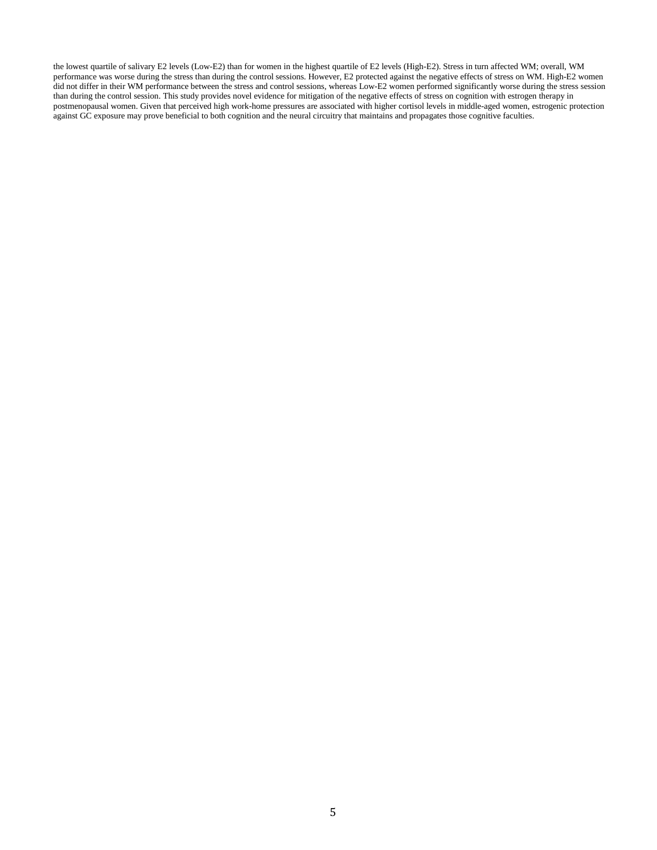the lowest quartile of salivary E2 levels (Low-E2) than for women in the highest quartile of E2 levels (High-E2). Stress in turn affected WM; overall, WM performance was worse during the stress than during the control sessions. However, E2 protected against the negative effects of stress on WM. High-E2 women did not differ in their WM performance between the stress and control sessions, whereas Low-E2 women performed significantly worse during the stress session than during the control session. This study provides novel evidence for mitigation of the negative effects of stress on cognition with estrogen therapy in postmenopausal women. Given that perceived high work-home pressures are associated with higher cortisol levels in middle-aged women, estrogenic protection against GC exposure may prove beneficial to both cognition and the neural circuitry that maintains and propagates those cognitive faculties.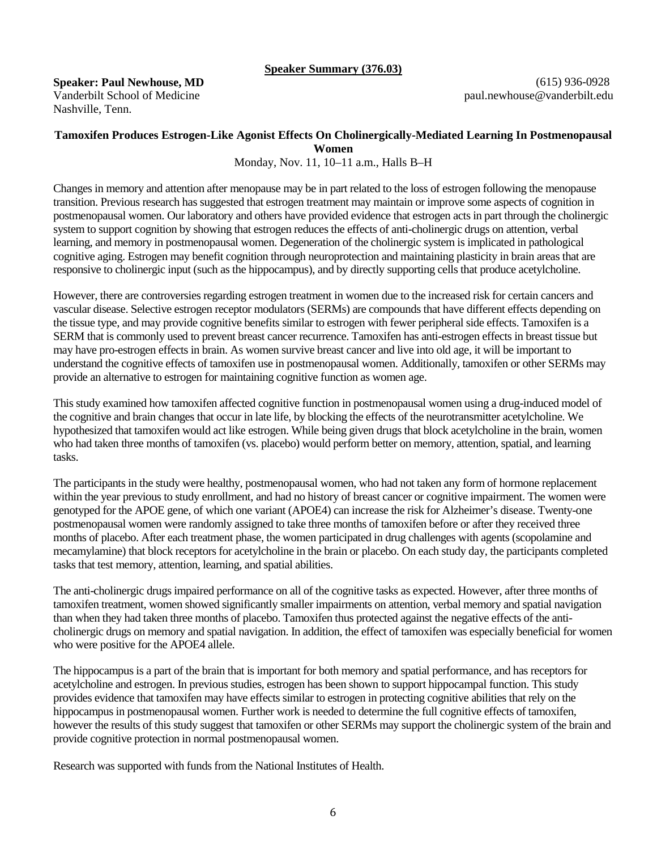### **Speaker Summary (376.03)**

**Speaker: Paul Newhouse, MD** Vanderbilt School of Medicine Nashville, Tenn.

(615) 936-0928 paul.newhouse@vanderbilt.edu

## **Tamoxifen Produces Estrogen-Like Agonist Effects On Cholinergically-Mediated Learning In Postmenopausal Women**

Monday, Nov. 11, 10–11 a.m., Halls B–H

Changes in memory and attention after menopause may be in part related to the loss of estrogen following the menopause transition. Previous research has suggested that estrogen treatment may maintain or improve some aspects of cognition in postmenopausal women. Our laboratory and others have provided evidence that estrogen acts in part through the cholinergic system to support cognition by showing that estrogen reduces the effects of anti-cholinergic drugs on attention, verbal learning, and memory in postmenopausal women. Degeneration of the cholinergic system is implicated in pathological cognitive aging. Estrogen may benefit cognition through neuroprotection and maintaining plasticity in brain areas that are responsive to cholinergic input (such as the hippocampus), and by directly supporting cells that produce acetylcholine.

However, there are controversies regarding estrogen treatment in women due to the increased risk for certain cancers and vascular disease. Selective estrogen receptor modulators (SERMs) are compounds that have different effects depending on the tissue type, and may provide cognitive benefits similar to estrogen with fewer peripheral side effects. Tamoxifen is a SERM that is commonly used to prevent breast cancer recurrence. Tamoxifen has anti-estrogen effects in breast tissue but may have pro-estrogen effects in brain. As women survive breast cancer and live into old age, it will be important to understand the cognitive effects of tamoxifen use in postmenopausal women. Additionally, tamoxifen or other SERMs may provide an alternative to estrogen for maintaining cognitive function as women age.

This study examined how tamoxifen affected cognitive function in postmenopausal women using a drug-induced model of the cognitive and brain changes that occur in late life, by blocking the effects of the neurotransmitter acetylcholine. We hypothesized that tamoxifen would act like estrogen. While being given drugs that block acetylcholine in the brain, women who had taken three months of tamoxifen (vs. placebo) would perform better on memory, attention, spatial, and learning tasks.

The participants in the study were healthy, postmenopausal women, who had not taken any form of hormone replacement within the year previous to study enrollment, and had no history of breast cancer or cognitive impairment. The women were genotyped for the APOE gene, of which one variant (APOE4) can increase the risk for Alzheimer's disease. Twenty-one postmenopausal women were randomly assigned to take three months of tamoxifen before or after they received three months of placebo. After each treatment phase, the women participated in drug challenges with agents (scopolamine and mecamylamine) that block receptors for acetylcholine in the brain or placebo. On each study day, the participants completed tasks that test memory, attention, learning, and spatial abilities.

The anti-cholinergic drugs impaired performance on all of the cognitive tasks as expected. However, after three months of tamoxifen treatment, women showed significantly smaller impairments on attention, verbal memory and spatial navigation than when they had taken three months of placebo. Tamoxifen thus protected against the negative effects of the anticholinergic drugs on memory and spatial navigation. In addition, the effect of tamoxifen was especially beneficial for women who were positive for the APOE4 allele.

The hippocampus is a part of the brain that is important for both memory and spatial performance, and has receptors for acetylcholine and estrogen. In previous studies, estrogen has been shown to support hippocampal function. This study provides evidence that tamoxifen may have effects similar to estrogen in protecting cognitive abilities that rely on the hippocampus in postmenopausal women. Further work is needed to determine the full cognitive effects of tamoxifen, however the results of this study suggest that tamoxifen or other SERMs may support the cholinergic system of the brain and provide cognitive protection in normal postmenopausal women.

Research was supported with funds from the National Institutes of Health.